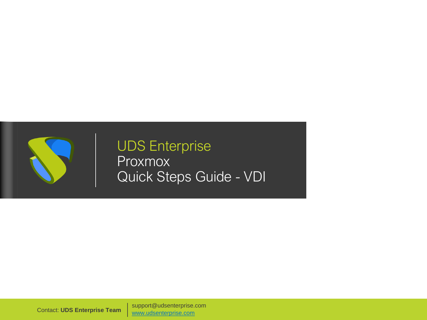

UDS Enterprise Proxmox Quick Steps Guide - VDI

support@udsenterprise.com Contact: **UDS Enterprise Team** [www.udsenterprise.com](http://www.udsenterprise.com/)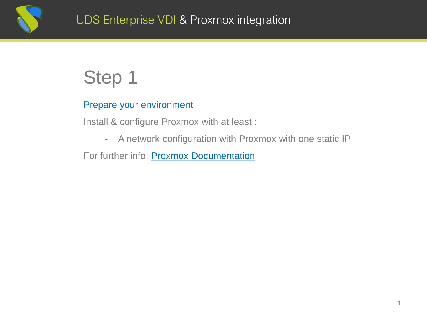

### Prepare your environment

Install & configure Proxmox with at least :

- A network configuration with Proxmox with one static IP

For further info: **[Proxmox Documentation](https://pve.proxmox.com/pve-docs/)**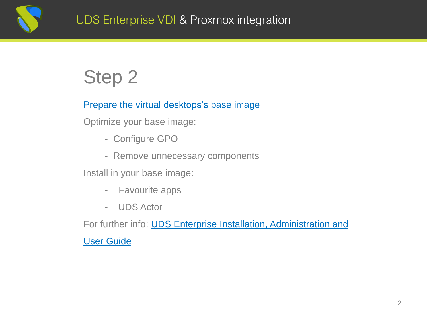

### Prepare the virtual desktops's base image

Optimize your base image:

- Configure GPO
- Remove unnecessary components

Install in your base image:

- Favourite apps
- UDS Actor

For further [info: UDS Enterprise Installation, Administration](https://www.udsenterprise.com/en/uds-enterprise/documentation/) and

User Guide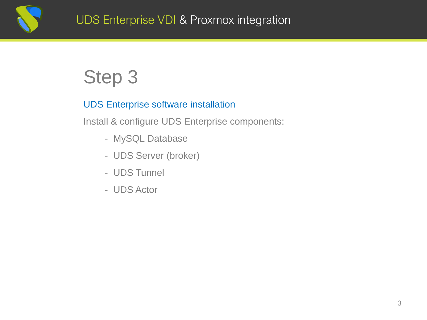

#### UDS Enterprise software installation

Install & configure UDS Enterprise components:

- MySQL Database
- UDS Server (broker)
- UDS Tunnel
- UDS Actor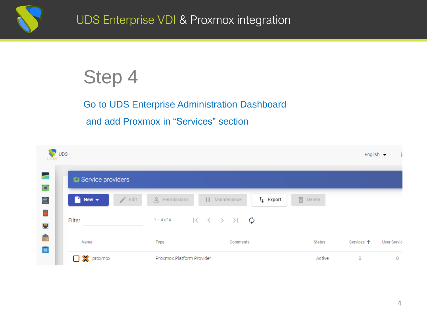

### Go to UDS Enterprise Administration Dashboard and add Proxmox in "Services" section

| <b>UDS</b>                      | V UDS |                                                               |                           |                                                                                              |            | Ť.<br>English $\blacktriangleright$ |
|---------------------------------|-------|---------------------------------------------------------------|---------------------------|----------------------------------------------------------------------------------------------|------------|-------------------------------------|
| a.<br>þij                       |       | Service providers                                             |                           |                                                                                              |            |                                     |
| Ė                               |       | $\blacksquare$ New $\blacktriangledown$<br>$\rightarrow$ Edit | e Permissions             | <b>面</b> Delete<br>$\uparrow$ Export<br>$\mathbf{H}$<br>Maintenance                          |            |                                     |
| 國<br>E.                         |       | Filter                                                        | $1 - 4$ of 4              | $\begin{array}{ccccccc} & & \times & \times & \rightarrow & \times & \mathbf{0} \end{array}$ |            |                                     |
| $\frac{1}{11}$<br>$\frac{1}{2}$ |       | Name                                                          | <b>Type</b>               | Comments<br>Status                                                                           | Services 个 | <b>User Servic</b>                  |
|                                 |       | <b>D</b> X proxmox                                            | Proxmox Platform Provider | Active                                                                                       | $\circ$    | $\circ$                             |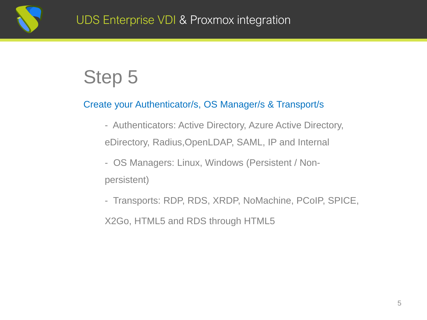

### Create your Authenticator/s, OS Manager/s & Transport/s

- Authenticators: Active Directory, Azure Active Directory, eDirectory, Radius,OpenLDAP, SAML, IP and Internal
- OS Managers: Linux, Windows (Persistent / Nonpersistent)
- Transports: RDP, RDS, XRDP, NoMachine, PCoIP, SPICE,

X2Go, HTML5 and RDS through HTML5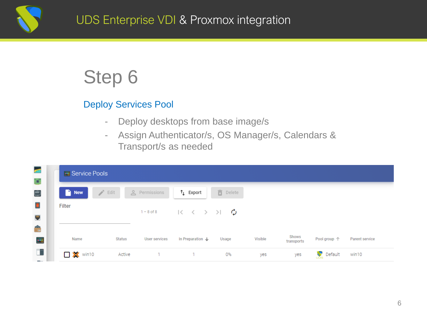

#### Deploy Services Pool

- Deploy desktops from base image/s
- Assign Authenticator/s, OS Manager/s, Calendars & Transport/s as needed

| <b>Execute</b> Pools     |                       |               |                                                                           |                 |         |                     |                  |                |
|--------------------------|-----------------------|---------------|---------------------------------------------------------------------------|-----------------|---------|---------------------|------------------|----------------|
| New                      | <b>Report</b><br>Edit | e Permissions | $\uparrow$ Export                                                         | <b>面</b> Delete |         |                     |                  |                |
| Filter                   |                       | $1 - 8$ of 8  | $R \leftarrow \leftarrow \rightarrow \rightarrow \rightarrow \rightarrow$ |                 |         |                     |                  |                |
| Name                     | <b>Status</b>         | User services | In Preparation J                                                          | Usage           | Visible | Shows<br>transports | Pool group 个     | Parent service |
| $\square$ <b>X</b> win10 | Active                |               | $\mathbf{1}$                                                              | 0%              | yes     | yes                 | <b>N</b> Default | win10          |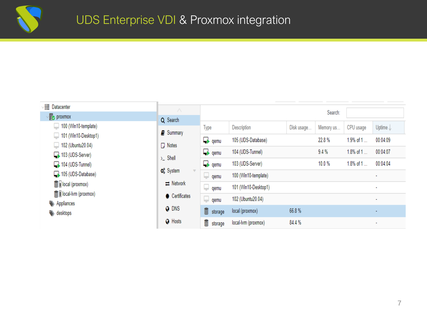

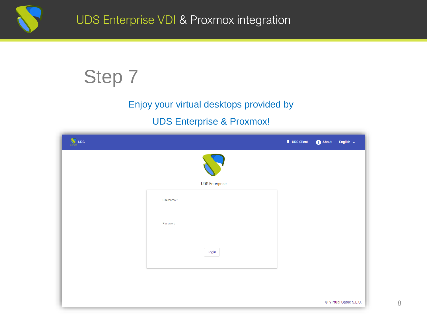

### Enjoy your virtual desktops provided by

### UDS Enterprise & Proxmox!

| <b>W</b> UDS |                       | $\bullet$ UDS Client | About | English $\leftarrow$   |
|--------------|-----------------------|----------------------|-------|------------------------|
|              |                       |                      |       |                        |
|              | <b>UDS Enterprise</b> |                      |       |                        |
|              | Username*             |                      |       |                        |
|              | Password              |                      |       |                        |
|              | Login                 |                      |       |                        |
|              |                       |                      |       |                        |
|              |                       |                      |       |                        |
|              |                       |                      |       | © Virtual Cable S.L.U. |